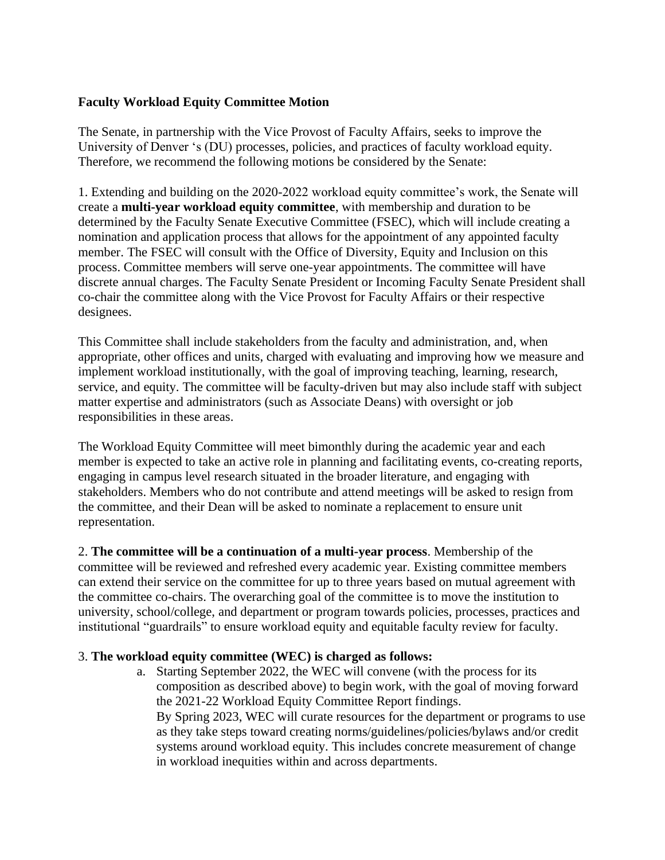## **Faculty Workload Equity Committee Motion**

The Senate, in partnership with the Vice Provost of Faculty Affairs, seeks to improve the University of Denver 's (DU) processes, policies, and practices of faculty workload equity. Therefore, we recommend the following motions be considered by the Senate:

1. Extending and building on the 2020-2022 workload equity committee's work, the Senate will create a **multi-year workload equity committee**, with membership and duration to be determined by the Faculty Senate Executive Committee (FSEC), which will include creating a nomination and application process that allows for the appointment of any appointed faculty member. The FSEC will consult with the Office of Diversity, Equity and Inclusion on this process. Committee members will serve one-year appointments. The committee will have discrete annual charges. The Faculty Senate President or Incoming Faculty Senate President shall co-chair the committee along with the Vice Provost for Faculty Affairs or their respective designees.

This Committee shall include stakeholders from the faculty and administration, and, when appropriate, other offices and units, charged with evaluating and improving how we measure and implement workload institutionally, with the goal of improving teaching, learning, research, service, and equity. The committee will be faculty-driven but may also include staff with subject matter expertise and administrators (such as Associate Deans) with oversight or job responsibilities in these areas.

The Workload Equity Committee will meet bimonthly during the academic year and each member is expected to take an active role in planning and facilitating events, co-creating reports, engaging in campus level research situated in the broader literature, and engaging with stakeholders. Members who do not contribute and attend meetings will be asked to resign from the committee, and their Dean will be asked to nominate a replacement to ensure unit representation.

2. **The committee will be a continuation of a multi-year process**. Membership of the committee will be reviewed and refreshed every academic year. Existing committee members can extend their service on the committee for up to three years based on mutual agreement with the committee co-chairs. The overarching goal of the committee is to move the institution to university, school/college, and department or program towards policies, processes, practices and institutional "guardrails" to ensure workload equity and equitable faculty review for faculty.

## 3. **The workload equity committee (WEC) is charged as follows:**

a. Starting September 2022, the WEC will convene (with the process for its composition as described above) to begin work, with the goal of moving forward the 2021-22 Workload Equity Committee Report findings. By Spring 2023, WEC will curate resources for the department or programs to use as they take steps toward creating norms/guidelines/policies/bylaws and/or credit systems around workload equity. This includes concrete measurement of change in workload inequities within and across departments.